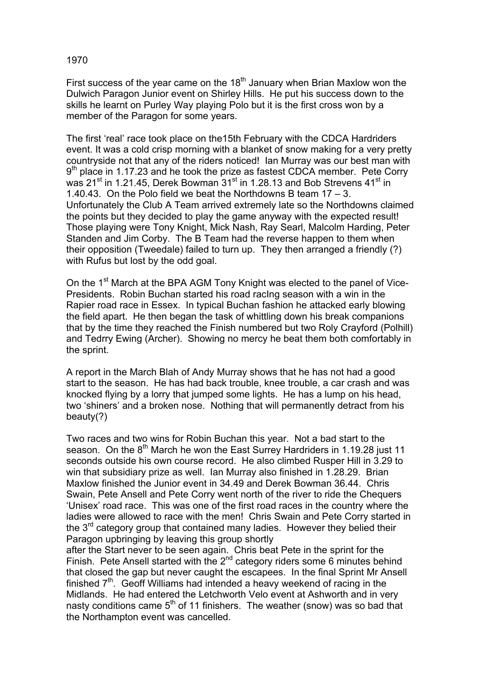## 1970

First success of the year came on the  $18<sup>th</sup>$  January when Brian Maxlow won the Dulwich Paragon Junior event on Shirley Hills. He put his success down to the skills he learnt on Purley Way playing Polo but it is the first cross won by a member of the Paragon for some years.

The first 'real' race took place on the15th February with the CDCA Hardriders event. It was a cold crisp morning with a blanket of snow making for a very pretty countryside not that any of the riders noticed! Ian Murray was our best man with  $9<sup>th</sup>$  place in 1.17.23 and he took the prize as fastest CDCA member. Pete Corry was 21<sup>st</sup> in 1.21.45, Derek Bowman 31<sup>st</sup> in 1.28.13 and Bob Strevens 41<sup>st</sup> in 1.40.43. On the Polo field we beat the Northdowns B team 17 – 3. Unfortunately the Club A Team arrived extremely late so the Northdowns claimed the points but they decided to play the game anyway with the expected result! Those playing were Tony Knight, Mick Nash, Ray Searl, Malcolm Harding, Peter Standen and Jim Corby. The B Team had the reverse happen to them when their opposition (Tweedale) failed to turn up. They then arranged a friendly (?) with Rufus but lost by the odd goal.

On the 1<sup>st</sup> March at the BPA AGM Tony Knight was elected to the panel of Vice-Presidents. Robin Buchan started his road racIng season with a win in the Rapier road race in Essex. In typical Buchan fashion he attacked early blowing the field apart. He then began the task of whittling down his break companions that by the time they reached the Finish numbered but two Roly Crayford (Polhill) and Tedrry Ewing (Archer). Showing no mercy he beat them both comfortably in the sprint.

A report in the March Blah of Andy Murray shows that he has not had a good start to the season. He has had back trouble, knee trouble, a car crash and was knocked flying by a lorry that jumped some lights. He has a lump on his head, two 'shiners' and a broken nose. Nothing that will permanently detract from his beauty(?)

Two races and two wins for Robin Buchan this year. Not a bad start to the season. On the 8<sup>th</sup> March he won the East Surrey Hardriders in 1.19.28 just 11 seconds outside his own course record. He also climbed Rusper Hill in 3.29 to win that subsidiary prize as well. Ian Murray also finished in 1.28.29. Brian Maxlow finished the Junior event in 34.49 and Derek Bowman 36.44. Chris Swain, Pete Ansell and Pete Corry went north of the river to ride the Chequers 'Unisex' road race. This was one of the first road races in the country where the ladies were allowed to race with the men! Chris Swain and Pete Corry started in the  $3<sup>rd</sup>$  category group that contained many ladies. However they belied their Paragon upbringing by leaving this group shortly

after the Start never to be seen again. Chris beat Pete in the sprint for the Finish. Pete Ansell started with the  $2^{nd}$  category riders some 6 minutes behind that closed the gap but never caught the escapees. In the final Sprint Mr Ansell finished  $7<sup>th</sup>$ . Geoff Williams had intended a heavy weekend of racing in the Midlands. He had entered the Letchworth Velo event at Ashworth and in very nasty conditions came  $5<sup>th</sup>$  of 11 finishers. The weather (snow) was so bad that the Northampton event was cancelled.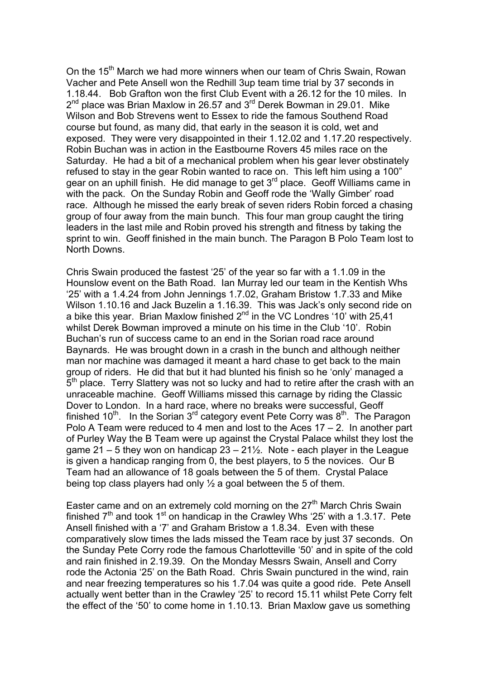On the 15<sup>th</sup> March we had more winners when our team of Chris Swain, Rowan Vacher and Pete Ansell won the Redhill 3up team time trial by 37 seconds in 1.18.44. Bob Grafton won the first Club Event with a 26.12 for the 10 miles. In 2<sup>nd</sup> place was Brian Maxlow in 26.57 and 3<sup>rd</sup> Derek Bowman in 29.01. Mike Wilson and Bob Strevens went to Essex to ride the famous Southend Road course but found, as many did, that early in the season it is cold, wet and exposed. They were very disappointed in their 1.12.02 and 1.17.20 respectively. Robin Buchan was in action in the Eastbourne Rovers 45 miles race on the Saturday. He had a bit of a mechanical problem when his gear lever obstinately refused to stay in the gear Robin wanted to race on. This left him using a 100" gear on an uphill finish. He did manage to get  $3<sup>rd</sup>$  place. Geoff Williams came in with the pack. On the Sunday Robin and Geoff rode the 'Wally Gimber' road race. Although he missed the early break of seven riders Robin forced a chasing group of four away from the main bunch. This four man group caught the tiring leaders in the last mile and Robin proved his strength and fitness by taking the sprint to win. Geoff finished in the main bunch. The Paragon B Polo Team lost to North Downs.

Chris Swain produced the fastest '25' of the year so far with a 1.1.09 in the Hounslow event on the Bath Road. Ian Murray led our team in the Kentish Whs '25' with a 1.4.24 from John Jennings 1.7.02, Graham Bristow 1.7.33 and Mike Wilson 1.10.16 and Jack Buzelin a 1.16.39. This was Jack's only second ride on a bike this year. Brian Maxlow finished  $2^{nd}$  in the VC Londres '10' with 25,41 whilst Derek Bowman improved a minute on his time in the Club '10'. Robin Buchan's run of success came to an end in the Sorian road race around Baynards. He was brought down in a crash in the bunch and although neither man nor machine was damaged it meant a hard chase to get back to the main group of riders. He did that but it had blunted his finish so he 'only' managed a 5<sup>th</sup> place. Terry Slattery was not so lucky and had to retire after the crash with an unraceable machine. Geoff Williams missed this carnage by riding the Classic Dover to London. In a hard race, where no breaks were successful, Geoff finished  $10^{th}$ . In the Sorian  $3^{rd}$  category event Pete Corry was  $8^{th}$ . The Paragon Polo A Team were reduced to 4 men and lost to the Aces 17 – 2. In another part of Purley Way the B Team were up against the Crystal Palace whilst they lost the game 21 – 5 they won on handicap  $23 - 21\frac{1}{2}$ . Note - each player in the League is given a handicap ranging from 0, the best players, to 5 the novices. Our B Team had an allowance of 18 goals between the 5 of them. Crystal Palace being top class players had only ½ a goal between the 5 of them.

Easter came and on an extremely cold morning on the  $27<sup>th</sup>$  March Chris Swain finished  $7<sup>th</sup>$  and took 1<sup>st</sup> on handicap in the Crawley Whs '25' with a 1.3.17. Pete Ansell finished with a '7' and Graham Bristow a 1.8.34. Even with these comparatively slow times the lads missed the Team race by just 37 seconds. On the Sunday Pete Corry rode the famous Charlotteville '50' and in spite of the cold and rain finished in 2.19.39. On the Monday Messrs Swain, Ansell and Corry rode the Actonia '25' on the Bath Road. Chris Swain punctured in the wind, rain and near freezing temperatures so his 1.7.04 was quite a good ride. Pete Ansell actually went better than in the Crawley '25' to record 15.11 whilst Pete Corry felt the effect of the '50' to come home in 1.10.13. Brian Maxlow gave us something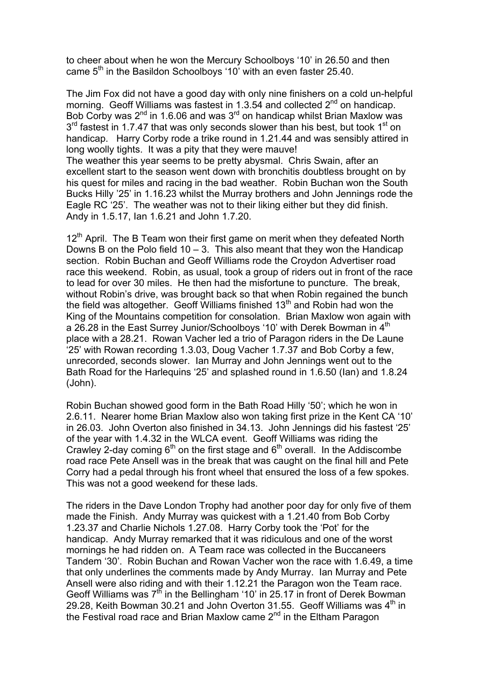to cheer about when he won the Mercury Schoolboys '10' in 26.50 and then came 5<sup>th</sup> in the Basildon Schoolboys '10' with an even faster 25.40.

The Jim Fox did not have a good day with only nine finishers on a cold un-helpful morning. Geoff Williams was fastest in 1.3.54 and collected 2<sup>nd</sup> on handicap. Bob Corby was  $2^{nd}$  in 1.6.06 and was  $3^{rd}$  on handicap whilst Brian Maxlow was  $3<sup>rd</sup>$  fastest in 1.7.47 that was only seconds slower than his best, but took 1<sup>st</sup> on handicap. Harry Corby rode a trike round in 1.21.44 and was sensibly attired in long woolly tights. It was a pity that they were mauve!

The weather this year seems to be pretty abysmal. Chris Swain, after an excellent start to the season went down with bronchitis doubtless brought on by his quest for miles and racing in the bad weather. Robin Buchan won the South Bucks Hilly '25' in 1.16.23 whilst the Murray brothers and John Jennings rode the Eagle RC '25'. The weather was not to their liking either but they did finish. Andy in 1.5.17, Ian 1.6.21 and John 1.7.20.

 $12<sup>th</sup>$  April. The B Team won their first game on merit when they defeated North Downs B on the Polo field  $10 - 3$ . This also meant that they won the Handicap section. Robin Buchan and Geoff Williams rode the Croydon Advertiser road race this weekend. Robin, as usual, took a group of riders out in front of the race to lead for over 30 miles. He then had the misfortune to puncture. The break, without Robin's drive, was brought back so that when Robin regained the bunch the field was altogether. Geoff Williams finished  $13<sup>th</sup>$  and Robin had won the King of the Mountains competition for consolation. Brian Maxlow won again with a 26.28 in the East Surrey Junior/Schoolboys '10' with Derek Bowman in 4<sup>th</sup> place with a 28.21. Rowan Vacher led a trio of Paragon riders in the De Laune '25' with Rowan recording 1.3.03, Doug Vacher 1.7.37 and Bob Corby a few, unrecorded, seconds slower. Ian Murray and John Jennings went out to the Bath Road for the Harlequins '25' and splashed round in 1.6.50 (Ian) and 1.8.24 (John).

Robin Buchan showed good form in the Bath Road Hilly '50'; which he won in 2.6.11. Nearer home Brian Maxlow also won taking first prize in the Kent CA '10' in 26.03. John Overton also finished in 34.13. John Jennings did his fastest '25' of the year with 1.4.32 in the WLCA event. Geoff Williams was riding the Crawley 2-day coming  $6<sup>th</sup>$  on the first stage and  $6<sup>th</sup>$  overall. In the Addiscombe road race Pete Ansell was in the break that was caught on the final hill and Pete Corry had a pedal through his front wheel that ensured the loss of a few spokes. This was not a good weekend for these lads.

The riders in the Dave London Trophy had another poor day for only five of them made the Finish. Andy Murray was quickest with a 1.21.40 from Bob Corby 1.23.37 and Charlie Nichols 1.27.08. Harry Corby took the 'Pot' for the handicap. Andy Murray remarked that it was ridiculous and one of the worst mornings he had ridden on. A Team race was collected in the Buccaneers Tandem '30'. Robin Buchan and Rowan Vacher won the race with 1.6.49, a time that only underlines the comments made by Andy Murray. Ian Murray and Pete Ansell were also riding and with their 1.12.21 the Paragon won the Team race. Geoff Williams was  $7<sup>th</sup>$  in the Bellingham '10' in 25.17 in front of Derek Bowman 29.28, Keith Bowman 30.21 and John Overton 31.55. Geoff Williams was 4<sup>th</sup> in the Festival road race and Brian Maxlow came 2<sup>nd</sup> in the Eltham Paragon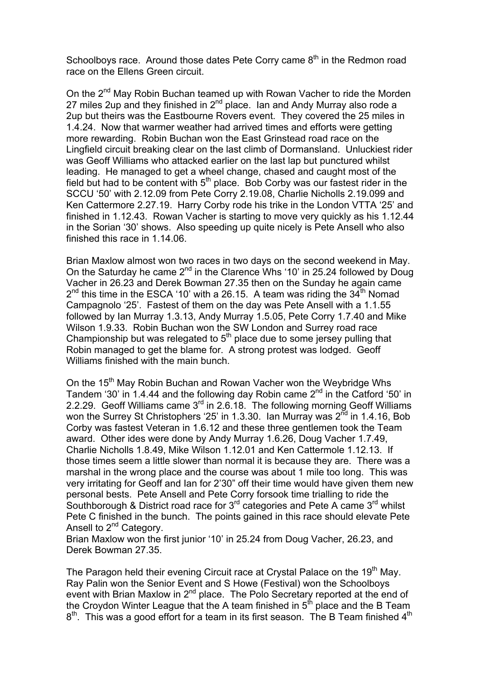Schoolboys race. Around those dates Pete Corry came  $8<sup>th</sup>$  in the Redmon road race on the Ellens Green circuit.

On the 2<sup>nd</sup> May Robin Buchan teamed up with Rowan Vacher to ride the Morden 27 miles 2up and they finished in 2<sup>nd</sup> place. Ian and Andy Murray also rode a 2up but theirs was the Eastbourne Rovers event. They covered the 25 miles in 1.4.24. Now that warmer weather had arrived times and efforts were getting more rewarding. Robin Buchan won the East Grinstead road race on the Lingfield circuit breaking clear on the last climb of Dormansland. Unluckiest rider was Geoff Williams who attacked earlier on the last lap but punctured whilst leading. He managed to get a wheel change, chased and caught most of the field but had to be content with  $5<sup>th</sup>$  place. Bob Corby was our fastest rider in the SCCU '50' with 2.12.09 from Pete Corry 2.19.08, Charlie Nicholls 2.19.099 and Ken Cattermore 2.27.19. Harry Corby rode his trike in the London VTTA '25' and finished in 1.12.43. Rowan Vacher is starting to move very quickly as his 1.12.44 in the Sorian '30' shows. Also speeding up quite nicely is Pete Ansell who also finished this race in 1.14.06.

Brian Maxlow almost won two races in two days on the second weekend in May. On the Saturday he came 2<sup>nd</sup> in the Clarence Whs '10' in 25.24 followed by Doug Vacher in 26.23 and Derek Bowman 27.35 then on the Sunday he again came  $2<sup>nd</sup>$  this time in the ESCA '10' with a 26.15. A team was riding the  $34<sup>th</sup>$  Nomad Campagnolo '25'. Fastest of them on the day was Pete Ansell with a 1.1.55 followed by Ian Murray 1.3.13, Andy Murray 1.5.05, Pete Corry 1.7.40 and Mike Wilson 1.9.33. Robin Buchan won the SW London and Surrey road race Championship but was relegated to  $5<sup>th</sup>$  place due to some jersey pulling that Robin managed to get the blame for. A strong protest was lodged. Geoff Williams finished with the main bunch.

On the 15<sup>th</sup> May Robin Buchan and Rowan Vacher won the Weybridge Whs Tandem '30' in 1.4.44 and the following day Robin came 2nd in the Catford '50' in 2.2.29. Geoff Williams came 3<sup>rd</sup> in 2.6.18. The following morning Geoff Williams won the Surrey St Christophers '25' in 1.3.30. Ian Murray was  $2^{\overline{nd}}$  in 1.4.16, Bob Corby was fastest Veteran in 1.6.12 and these three gentlemen took the Team award. Other ides were done by Andy Murray 1.6.26, Doug Vacher 1.7.49, Charlie Nicholls 1.8.49, Mike Wilson 1.12.01 and Ken Cattermole 1.12.13. If those times seem a little slower than normal it is because they are. There was a marshal in the wrong place and the course was about 1 mile too long. This was very irritating for Geoff and Ian for 2'30" off their time would have given them new personal bests. Pete Ansell and Pete Corry forsook time trialling to ride the Southborough & District road race for  $3<sup>rd</sup>$  categories and Pete A came  $3<sup>rd</sup>$  whilst Pete C finished in the bunch. The points gained in this race should elevate Pete Ansell to 2<sup>nd</sup> Category.

Brian Maxlow won the first junior '10' in 25.24 from Doug Vacher, 26.23, and Derek Bowman 27.35.

The Paragon held their evening Circuit race at Crystal Palace on the 19<sup>th</sup> May. Ray Palin won the Senior Event and S Howe (Festival) won the Schoolboys event with Brian Maxlow in  $2^{nd}$  place. The Polo Secretary reported at the end of the Croydon Winter League that the A team finished in  $5<sup>th</sup>$  place and the B Team  $8<sup>th</sup>$ . This was a good effort for a team in its first season. The B Team finished  $4<sup>th</sup>$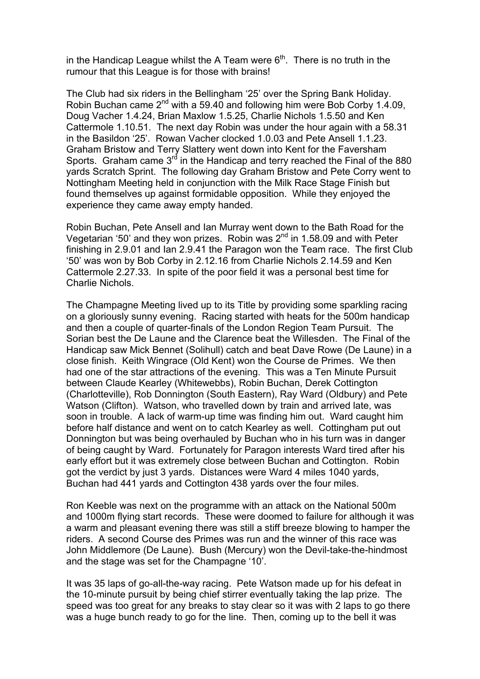in the Handicap League whilst the A Team were  $6<sup>th</sup>$ . There is no truth in the rumour that this League is for those with brains!

The Club had six riders in the Bellingham '25' over the Spring Bank Holiday. Robin Buchan came  $2^{nd}$  with a 59.40 and following him were Bob Corby 1.4.09, Doug Vacher 1.4.24, Brian Maxlow 1.5.25, Charlie Nichols 1.5.50 and Ken Cattermole 1.10.51. The next day Robin was under the hour again with a 58.31 in the Basildon '25'. Rowan Vacher clocked 1.0.03 and Pete Ansell 1.1.23. Graham Bristow and Terry Slattery went down into Kent for the Faversham Sports. Graham came  $3<sup>rd</sup>$  in the Handicap and terry reached the Final of the 880 yards Scratch Sprint. The following day Graham Bristow and Pete Corry went to Nottingham Meeting held in conjunction with the Milk Race Stage Finish but found themselves up against formidable opposition. While they enjoyed the experience they came away empty handed.

Robin Buchan, Pete Ansell and Ian Murray went down to the Bath Road for the Vegetarian '50' and they won prizes. Robin was  $2^{nd}$  in 1.58.09 and with Peter finishing in 2.9.01 and Ian 2.9.41 the Paragon won the Team race. The first Club '50' was won by Bob Corby in 2.12.16 from Charlie Nichols 2.14.59 and Ken Cattermole 2.27.33. In spite of the poor field it was a personal best time for Charlie Nichols.

The Champagne Meeting lived up to its Title by providing some sparkling racing on a gloriously sunny evening. Racing started with heats for the 500m handicap and then a couple of quarter-finals of the London Region Team Pursuit. The Sorian best the De Laune and the Clarence beat the Willesden. The Final of the Handicap saw Mick Bennet (Solihull) catch and beat Dave Rowe (De Laune) in a close finish. Keith Wingrace (Old Kent) won the Course de Primes. We then had one of the star attractions of the evening. This was a Ten Minute Pursuit between Claude Kearley (Whitewebbs), Robin Buchan, Derek Cottington (Charlotteville), Rob Donnington (South Eastern), Ray Ward (Oldbury) and Pete Watson (Clifton). Watson, who travelled down by train and arrived late, was soon in trouble. A lack of warm-up time was finding him out. Ward caught him before half distance and went on to catch Kearley as well. Cottingham put out Donnington but was being overhauled by Buchan who in his turn was in danger of being caught by Ward. Fortunately for Paragon interests Ward tired after his early effort but it was extremely close between Buchan and Cottington. Robin got the verdict by just 3 yards. Distances were Ward 4 miles 1040 yards, Buchan had 441 yards and Cottington 438 yards over the four miles.

Ron Keeble was next on the programme with an attack on the National 500m and 1000m flying start records. These were doomed to failure for although it was a warm and pleasant evening there was still a stiff breeze blowing to hamper the riders. A second Course des Primes was run and the winner of this race was John Middlemore (De Laune). Bush (Mercury) won the Devil-take-the-hindmost and the stage was set for the Champagne '10'.

It was 35 laps of go-all-the-way racing. Pete Watson made up for his defeat in the 10-minute pursuit by being chief stirrer eventually taking the lap prize. The speed was too great for any breaks to stay clear so it was with 2 laps to go there was a huge bunch ready to go for the line. Then, coming up to the bell it was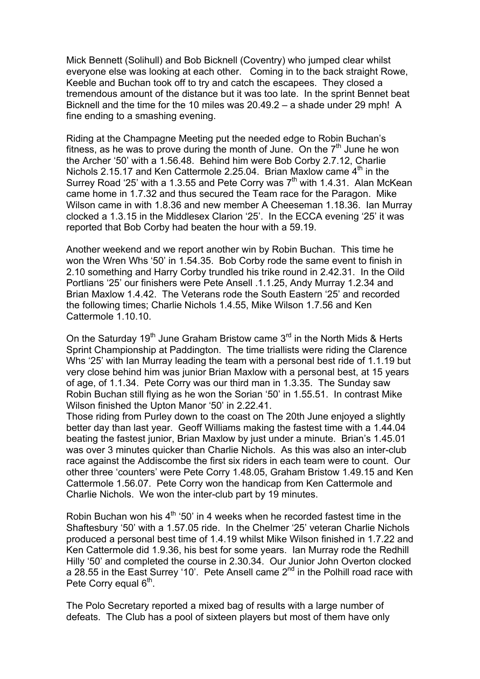Mick Bennett (Solihull) and Bob Bicknell (Coventry) who jumped clear whilst everyone else was looking at each other. Coming in to the back straight Rowe, Keeble and Buchan took off to try and catch the escapees. They closed a tremendous amount of the distance but it was too late. In the sprint Bennet beat Bicknell and the time for the 10 miles was 20.49.2 – a shade under 29 mph! A fine ending to a smashing evening.

Riding at the Champagne Meeting put the needed edge to Robin Buchan's fitness, as he was to prove during the month of June. On the  $7<sup>th</sup>$  June he won the Archer '50' with a 1.56.48. Behind him were Bob Corby 2.7.12, Charlie Nichols 2.15.17 and Ken Cattermole 2.25.04. Brian Maxlow came  $4<sup>th</sup>$  in the Surrey Road '25' with a 1.3.55 and Pete Corry was  $7<sup>th</sup>$  with 1.4.31. Alan McKean came home in 1.7.32 and thus secured the Team race for the Paragon. Mike Wilson came in with 1.8.36 and new member A Cheeseman 1.18.36. Ian Murray clocked a 1.3.15 in the Middlesex Clarion '25'. In the ECCA evening '25' it was reported that Bob Corby had beaten the hour with a 59.19.

Another weekend and we report another win by Robin Buchan. This time he won the Wren Whs '50' in 1.54.35. Bob Corby rode the same event to finish in 2.10 something and Harry Corby trundled his trike round in 2.42.31. In the Oild Portlians '25' our finishers were Pete Ansell .1.1.25, Andy Murray 1.2.34 and Brian Maxlow 1.4.42. The Veterans rode the South Eastern '25' and recorded the following times; Charlie Nichols 1.4.55, Mike Wilson 1.7.56 and Ken Cattermole 1.10.10.

On the Saturday 19<sup>th</sup> June Graham Bristow came  $3<sup>rd</sup>$  in the North Mids & Herts Sprint Championship at Paddington. The time triallists were riding the Clarence Whs '25' with Ian Murray leading the team with a personal best ride of 1.1.19 but very close behind him was junior Brian Maxlow with a personal best, at 15 years of age, of 1.1.34. Pete Corry was our third man in 1.3.35. The Sunday saw Robin Buchan still flying as he won the Sorian '50' in 1.55.51. In contrast Mike Wilson finished the Upton Manor '50' in 2.22.41.

Those riding from Purley down to the coast on The 20th June enjoyed a slightly better day than last year. Geoff Williams making the fastest time with a 1.44.04 beating the fastest junior, Brian Maxlow by just under a minute. Brian's 1.45.01 was over 3 minutes quicker than Charlie Nichols. As this was also an inter-club race against the Addiscombe the first six riders in each team were to count. Our other three 'counters' were Pete Corry 1.48.05, Graham Bristow 1.49.15 and Ken Cattermole 1.56.07. Pete Corry won the handicap from Ken Cattermole and Charlie Nichols. We won the inter-club part by 19 minutes.

Robin Buchan won his  $4^{\text{th}}$  '50' in 4 weeks when he recorded fastest time in the Shaftesbury '50' with a 1.57.05 ride. In the Chelmer '25' veteran Charlie Nichols produced a personal best time of 1.4.19 whilst Mike Wilson finished in 1.7.22 and Ken Cattermole did 1.9.36, his best for some years. Ian Murray rode the Redhill Hilly '50' and completed the course in 2.30.34. Our Junior John Overton clocked a 28.55 in the East Surrey '10'. Pete Ansell came  $2^{nd}$  in the Polhill road race with Pete Corry equal  $6<sup>th</sup>$ .

The Polo Secretary reported a mixed bag of results with a large number of defeats. The Club has a pool of sixteen players but most of them have only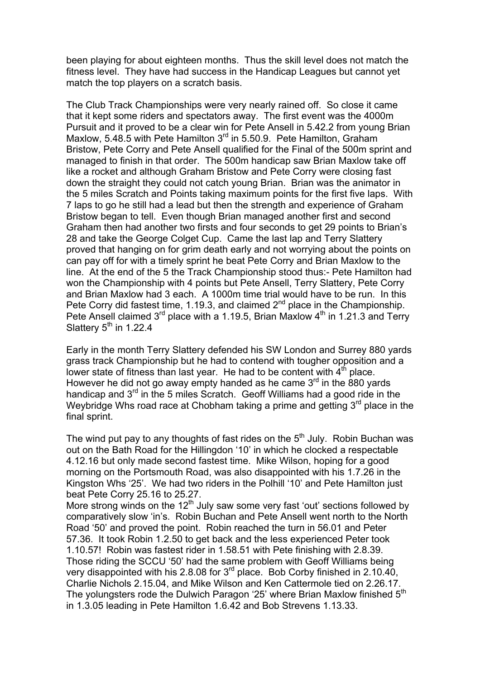been playing for about eighteen months. Thus the skill level does not match the fitness level. They have had success in the Handicap Leagues but cannot yet match the top players on a scratch basis.

The Club Track Championships were very nearly rained off. So close it came that it kept some riders and spectators away. The first event was the 4000m Pursuit and it proved to be a clear win for Pete Ansell in 5.42.2 from young Brian Maxlow, 5.48.5 with Pete Hamilton 3<sup>rd</sup> in 5.50.9. Pete Hamilton, Graham Bristow, Pete Corry and Pete Ansell qualified for the Final of the 500m sprint and managed to finish in that order. The 500m handicap saw Brian Maxlow take off like a rocket and although Graham Bristow and Pete Corry were closing fast down the straight they could not catch young Brian. Brian was the animator in the 5 miles Scratch and Points taking maximum points for the first five laps. With 7 laps to go he still had a lead but then the strength and experience of Graham Bristow began to tell. Even though Brian managed another first and second Graham then had another two firsts and four seconds to get 29 points to Brian's 28 and take the George Colget Cup. Came the last lap and Terry Slattery proved that hanging on for grim death early and not worrying about the points on can pay off for with a timely sprint he beat Pete Corry and Brian Maxlow to the line. At the end of the 5 the Track Championship stood thus:- Pete Hamilton had won the Championship with 4 points but Pete Ansell, Terry Slattery, Pete Corry and Brian Maxlow had 3 each. A 1000m time trial would have to be run. In this Pete Corry did fastest time, 1.19.3, and claimed  $2<sup>nd</sup>$  place in the Championship. Pete Ansell claimed  $3<sup>rd</sup>$  place with a 1.19.5, Brian Maxlow  $4<sup>th</sup>$  in 1.21.3 and Terry Slattery  $5<sup>th</sup>$  in 1.22.4

Early in the month Terry Slattery defended his SW London and Surrey 880 yards grass track Championship but he had to contend with tougher opposition and a lower state of fitness than last year. He had to be content with  $4<sup>th</sup>$  place. However he did not go away empty handed as he came  $3<sup>rd</sup>$  in the 880 yards handicap and 3<sup>rd</sup> in the 5 miles Scratch. Geoff Williams had a good ride in the Weybridge Whs road race at Chobham taking a prime and getting  $3<sup>rd</sup>$  place in the final sprint.

The wind put pay to any thoughts of fast rides on the  $5<sup>th</sup>$  July. Robin Buchan was out on the Bath Road for the Hillingdon '10' in which he clocked a respectable 4.12.16 but only made second fastest time. Mike Wilson, hoping for a good morning on the Portsmouth Road, was also disappointed with his 1.7.26 in the Kingston Whs '25'. We had two riders in the Polhill '10' and Pete Hamilton just beat Pete Corry 25.16 to 25.27.

More strong winds on the 12<sup>th</sup> July saw some very fast 'out' sections followed by comparatively slow 'in's. Robin Buchan and Pete Ansell went north to the North Road '50' and proved the point. Robin reached the turn in 56.01 and Peter 57.36. It took Robin 1.2.50 to get back and the less experienced Peter took 1.10.57! Robin was fastest rider in 1.58.51 with Pete finishing with 2.8.39. Those riding the SCCU '50' had the same problem with Geoff Williams being very disappointed with his 2.8.08 for 3<sup>rd</sup> place. Bob Corby finished in 2.10.40, Charlie Nichols 2.15.04, and Mike Wilson and Ken Cattermole tied on 2.26.17. The yolungsters rode the Dulwich Paragon '25' where Brian Maxlow finished 5<sup>th</sup> in 1.3.05 leading in Pete Hamilton 1.6.42 and Bob Strevens 1.13.33.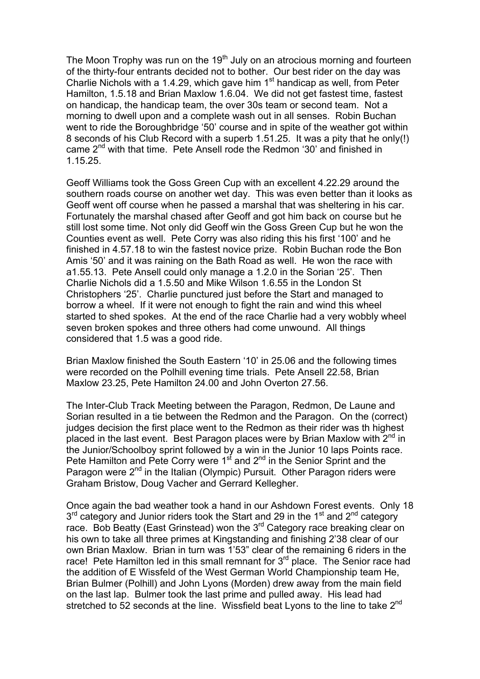The Moon Trophy was run on the  $19<sup>th</sup>$  July on an atrocious morning and fourteen of the thirty-four entrants decided not to bother. Our best rider on the day was Charlie Nichols with a 1.4.29, which gave him  $1<sup>st</sup>$  handicap as well, from Peter Hamilton, 1.5.18 and Brian Maxlow 1.6.04. We did not get fastest time, fastest on handicap, the handicap team, the over 30s team or second team. Not a morning to dwell upon and a complete wash out in all senses. Robin Buchan went to ride the Boroughbridge '50' course and in spite of the weather got within 8 seconds of his Club Record with a superb 1.51.25. It was a pity that he only(!) came 2nd with that time. Pete Ansell rode the Redmon '30' and finished in 1.15.25.

Geoff Williams took the Goss Green Cup with an excellent 4.22.29 around the southern roads course on another wet day. This was even better than it looks as Geoff went off course when he passed a marshal that was sheltering in his car. Fortunately the marshal chased after Geoff and got him back on course but he still lost some time. Not only did Geoff win the Goss Green Cup but he won the Counties event as well. Pete Corry was also riding this his first '100' and he finished in 4.57.18 to win the fastest novice prize. Robin Buchan rode the Bon Amis '50' and it was raining on the Bath Road as well. He won the race with a1.55.13. Pete Ansell could only manage a 1.2.0 in the Sorian '25'. Then Charlie Nichols did a 1.5.50 and Mike Wilson 1.6.55 in the London St Christophers '25'. Charlie punctured just before the Start and managed to borrow a wheel. If it were not enough to fight the rain and wind this wheel started to shed spokes. At the end of the race Charlie had a very wobbly wheel seven broken spokes and three others had come unwound. All things considered that 1.5 was a good ride.

Brian Maxlow finished the South Eastern '10' in 25.06 and the following times were recorded on the Polhill evening time trials. Pete Ansell 22.58, Brian Maxlow 23.25, Pete Hamilton 24.00 and John Overton 27.56.

The Inter-Club Track Meeting between the Paragon, Redmon, De Laune and Sorian resulted in a tie between the Redmon and the Paragon. On the (correct) judges decision the first place went to the Redmon as their rider was th highest placed in the last event. Best Paragon places were by Brian Maxlow with  $2^{nd}$  in the Junior/Schoolboy sprint followed by a win in the Junior 10 laps Points race. Pete Hamilton and Pete Corry were  $1<sup>st</sup>$  and  $2<sup>nd</sup>$  in the Senior Sprint and the Paragon were 2<sup>nd</sup> in the Italian (Olympic) Pursuit. Other Paragon riders were Graham Bristow, Doug Vacher and Gerrard Kellegher.

Once again the bad weather took a hand in our Ashdown Forest events. Only 18 3<sup>rd</sup> category and Junior riders took the Start and 29 in the 1<sup>st</sup> and 2<sup>nd</sup> category race. Bob Beatty (East Grinstead) won the  $3<sup>rd</sup>$  Category race breaking clear on his own to take all three primes at Kingstanding and finishing 2'38 clear of our own Brian Maxlow. Brian in turn was 1'53" clear of the remaining 6 riders in the race! Pete Hamilton led in this small remnant for  $3<sup>rd</sup>$  place. The Senior race had the addition of E Wissfeld of the West German World Championship team He, Brian Bulmer (Polhill) and John Lyons (Morden) drew away from the main field on the last lap. Bulmer took the last prime and pulled away. His lead had stretched to 52 seconds at the line. Wissfield beat Lyons to the line to take 2<sup>nd</sup>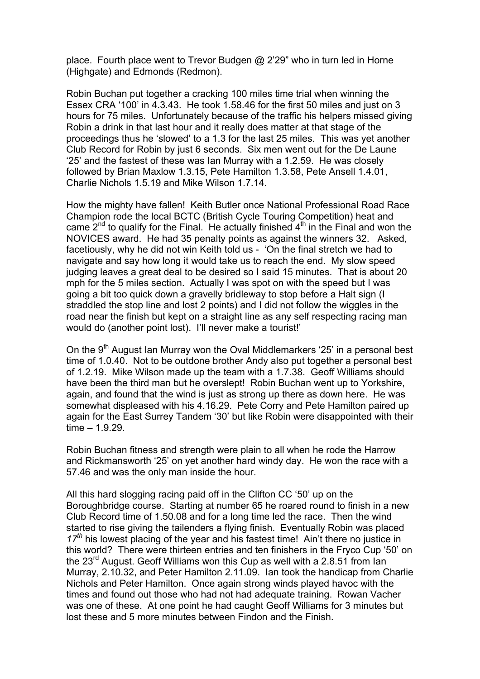place. Fourth place went to Trevor Budgen @ 2'29" who in turn led in Horne (Highgate) and Edmonds (Redmon).

Robin Buchan put together a cracking 100 miles time trial when winning the Essex CRA '100' in 4.3.43. He took 1.58.46 for the first 50 miles and just on 3 hours for 75 miles. Unfortunately because of the traffic his helpers missed giving Robin a drink in that last hour and it really does matter at that stage of the proceedings thus he 'slowed' to a 1.3 for the last 25 miles. This was yet another Club Record for Robin by just 6 seconds. Six men went out for the De Laune '25' and the fastest of these was Ian Murray with a 1.2.59. He was closely followed by Brian Maxlow 1.3.15, Pete Hamilton 1.3.58, Pete Ansell 1.4.01, Charlie Nichols 1.5.19 and Mike Wilson 1.7.14.

How the mighty have fallen! Keith Butler once National Professional Road Race Champion rode the local BCTC (British Cycle Touring Competition) heat and came  $2<sup>nd</sup>$  to qualify for the Final. He actually finished  $4<sup>th</sup>$  in the Final and won the NOVICES award. He had 35 penalty points as against the winners 32. Asked, facetiously, why he did not win Keith told us - 'On the final stretch we had to navigate and say how long it would take us to reach the end. My slow speed judging leaves a great deal to be desired so I said 15 minutes. That is about 20 mph for the 5 miles section. Actually I was spot on with the speed but I was going a bit too quick down a gravelly bridleway to stop before a Halt sign (I straddled the stop line and lost 2 points) and I did not follow the wiggles in the road near the finish but kept on a straight line as any self respecting racing man would do (another point lost). I'll never make a tourist!'

On the  $9<sup>th</sup>$  August Ian Murray won the Oval Middlemarkers '25' in a personal best time of 1.0.40. Not to be outdone brother Andy also put together a personal best of 1.2.19. Mike Wilson made up the team with a 1.7.38. Geoff Williams should have been the third man but he overslept! Robin Buchan went up to Yorkshire, again, and found that the wind is just as strong up there as down here. He was somewhat displeased with his 4.16.29. Pete Corry and Pete Hamilton paired up again for the East Surrey Tandem '30' but like Robin were disappointed with their time – 1.9.29.

Robin Buchan fitness and strength were plain to all when he rode the Harrow and Rickmansworth '25' on yet another hard windy day. He won the race with a 57.46 and was the only man inside the hour.

All this hard slogging racing paid off in the Clifton CC '50' up on the Boroughbridge course. Starting at number 65 he roared round to finish in a new Club Record time of 1.50.08 and for a long time led the race. Then the wind started to rise giving the tailenders a flying finish. Eventually Robin was placed 17<sup>th</sup> his lowest placing of the year and his fastest time! Ain't there no justice in this world? There were thirteen entries and ten finishers in the Fryco Cup '50' on the 23<sup>rd</sup> August. Geoff Williams won this Cup as well with a 2.8.51 from lan Murray, 2.10.32, and Peter Hamilton 2.11.09. Ian took the handicap from Charlie Nichols and Peter Hamilton. Once again strong winds played havoc with the times and found out those who had not had adequate training. Rowan Vacher was one of these. At one point he had caught Geoff Williams for 3 minutes but lost these and 5 more minutes between Findon and the Finish.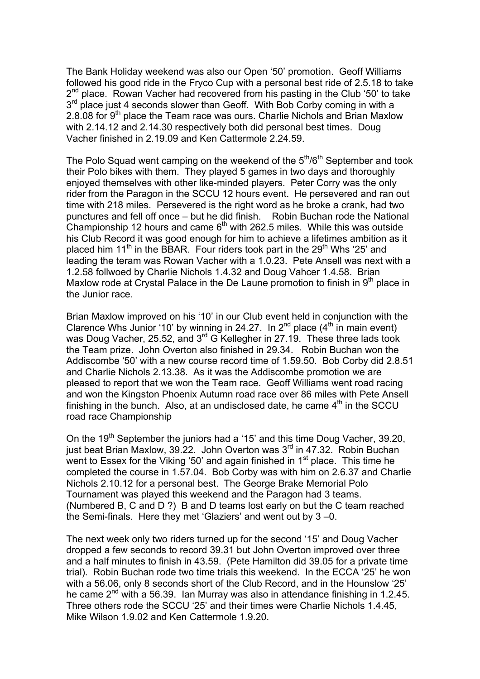The Bank Holiday weekend was also our Open '50' promotion. Geoff Williams followed his good ride in the Fryco Cup with a personal best ride of 2.5.18 to take  $2^{nd}$  place. Rowan Vacher had recovered from his pasting in the Club '50' to take  $3<sup>rd</sup>$  place just 4 seconds slower than Geoff. With Bob Corby coming in with a 2.8.08 for 9<sup>th</sup> place the Team race was ours. Charlie Nichols and Brian Maxlow with 2.14.12 and 2.14.30 respectively both did personal best times. Doug Vacher finished in 2.19.09 and Ken Cattermole 2.24.59.

The Polo Squad went camping on the weekend of the  $5<sup>th</sup>/6<sup>th</sup>$  September and took their Polo bikes with them. They played 5 games in two days and thoroughly enjoyed themselves with other like-minded players. Peter Corry was the only rider from the Paragon in the SCCU 12 hours event. He persevered and ran out time with 218 miles. Persevered is the right word as he broke a crank, had two punctures and fell off once – but he did finish. Robin Buchan rode the National Championship 12 hours and came  $6<sup>th</sup>$  with 262.5 miles. While this was outside his Club Record it was good enough for him to achieve a lifetimes ambition as it placed him  $11<sup>th</sup>$  in the BBAR. Four riders took part in the 29<sup>th</sup> Whs '25' and leading the teram was Rowan Vacher with a 1.0.23. Pete Ansell was next with a 1.2.58 follwoed by Charlie Nichols 1.4.32 and Doug Vahcer 1.4.58. Brian Maxlow rode at Crystal Palace in the De Laune promotion to finish in  $9<sup>th</sup>$  place in the Junior race.

Brian Maxlow improved on his '10' in our Club event held in conjunction with the Clarence Whs Junior '10' by winning in 24.27. In  $2^{nd}$  place  $(4^{th}$  in main event) was Doug Vacher, 25.52, and 3<sup>rd</sup> G Kellegher in 27.19. These three lads took the Team prize. John Overton also finished in 29.34. Robin Buchan won the Addiscombe '50' with a new course record time of 1.59.50. Bob Corby did 2.8.51 and Charlie Nichols 2.13.38. As it was the Addiscombe promotion we are pleased to report that we won the Team race. Geoff Williams went road racing and won the Kingston Phoenix Autumn road race over 86 miles with Pete Ansell finishing in the bunch. Also, at an undisclosed date, he came  $4<sup>th</sup>$  in the SCCU road race Championship

On the 19<sup>th</sup> September the juniors had a '15' and this time Doug Vacher, 39.20, just beat Brian Maxlow, 39.22. John Overton was 3<sup>rd</sup> in 47.32. Robin Buchan went to Essex for the Viking '50' and again finished in  $1<sup>st</sup>$  place. This time he completed the course in 1.57.04. Bob Corby was with him on 2.6.37 and Charlie Nichols 2.10.12 for a personal best. The George Brake Memorial Polo Tournament was played this weekend and the Paragon had 3 teams. (Numbered B, C and D ?) B and D teams lost early on but the C team reached the Semi-finals. Here they met 'Glaziers' and went out by 3 –0.

The next week only two riders turned up for the second '15' and Doug Vacher dropped a few seconds to record 39.31 but John Overton improved over three and a half minutes to finish in 43.59. (Pete Hamilton did 39.05 for a private time trial). Robin Buchan rode two time trials this weekend. In the ECCA '25' he won with a 56.06, only 8 seconds short of the Club Record, and in the Hounslow '25' he came  $2^{nd}$  with a 56.39. Ian Murray was also in attendance finishing in 1.2.45. Three others rode the SCCU '25' and their times were Charlie Nichols 1.4.45, Mike Wilson 1.9.02 and Ken Cattermole 1.9.20.